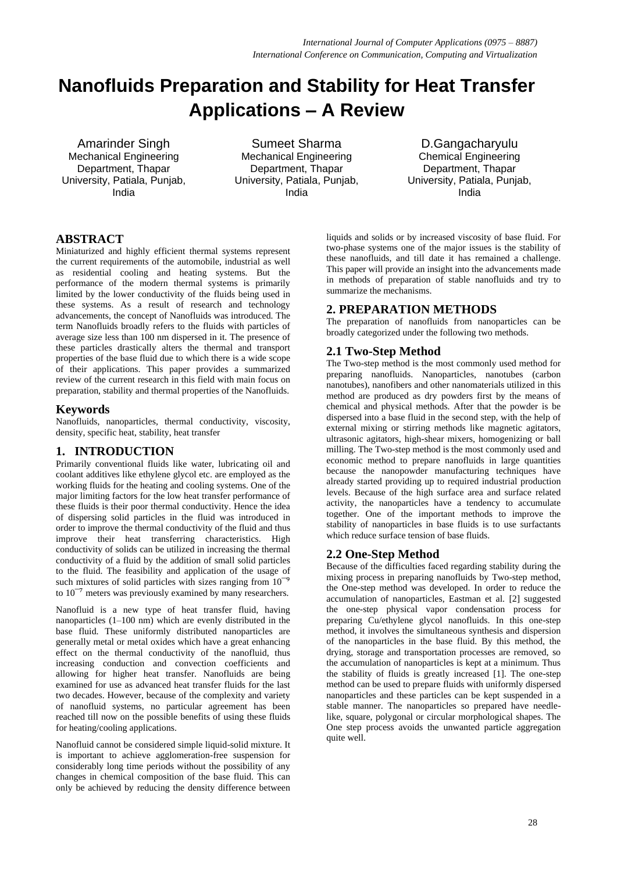# **Nanofluids Preparation and Stability for Heat Transfer Applications – A Review**

Mechanical Engineering Department, Thapar University, Patiala, Punjab, India

Amarinder Singh Sumeet Sharma D.Gangacharyulu Mechanical Engineering Department, Thapar University, Patiala, Punjab, India

Chemical Engineering Department, Thapar University, Patiala, Punjab, India

## **ABSTRACT**

Miniaturized and highly efficient thermal systems represent the current requirements of the automobile, industrial as well as residential cooling and heating systems. But the performance of the modern thermal systems is primarily limited by the lower conductivity of the fluids being used in these systems. As a result of research and technology advancements, the concept of Nanofluids was introduced. The term Nanofluids broadly refers to the fluids with particles of average size less than 100 nm dispersed in it. The presence of these particles drastically alters the thermal and transport properties of the base fluid due to which there is a wide scope of their applications. This paper provides a summarized review of the current research in this field with main focus on preparation, stability and thermal properties of the Nanofluids.

## **Keywords**

Nanofluids, nanoparticles, thermal conductivity, viscosity, density, specific heat, stability, heat transfer

## **1. INTRODUCTION**

Primarily conventional fluids like water, lubricating oil and coolant additives like ethylene glycol etc. are employed as the working fluids for the heating and cooling systems. One of the major limiting factors for the low heat transfer performance of these fluids is their poor thermal conductivity. Hence the idea of dispersing solid particles in the fluid was introduced in order to improve the thermal conductivity of the fluid and thus improve their heat transferring characteristics. High conductivity of solids can be utilized in increasing the thermal conductivity of a fluid by the addition of small solid particles to the fluid. The feasibility and application of the usage of such mixtures of solid particles with sizes ranging from  $10^{-9}$ to  $10^{-7}$  meters was previously examined by many researchers.

Nanofluid is a new type of heat transfer fluid, having nanoparticles (1–100 nm) which are evenly distributed in the base fluid. These uniformly distributed nanoparticles are generally metal or metal oxides which have a great enhancing effect on the thermal conductivity of the nanofluid, thus increasing conduction and convection coefficients and allowing for higher heat transfer. Nanofluids are being examined for use as advanced heat transfer fluids for the last two decades. However, because of the complexity and variety of nanofluid systems, no particular agreement has been reached till now on the possible benefits of using these fluids for heating/cooling applications.

Nanofluid cannot be considered simple liquid-solid mixture. It is important to achieve agglomeration-free suspension for considerably long time periods without the possibility of any changes in chemical composition of the base fluid. This can only be achieved by reducing the density difference between

liquids and solids or by increased viscosity of base fluid. For two-phase systems one of the major issues is the stability of these nanofluids, and till date it has remained a challenge. This paper will provide an insight into the advancements made in methods of preparation of stable nanofluids and try to summarize the mechanisms.

## **2. PREPARATION METHODS**

The preparation of nanofluids from nanoparticles can be broadly categorized under the following two methods.

## **2.1 Two-Step Method**

The Two-step method is the most commonly used method for preparing nanofluids. Nanoparticles, nanotubes (carbon nanotubes), nanofibers and other nanomaterials utilized in this method are produced as dry powders first by the means of chemical and physical methods. After that the powder is be dispersed into a base fluid in the second step, with the help of external mixing or stirring methods like magnetic agitators, ultrasonic agitators, high-shear mixers, homogenizing or ball milling. The Two-step method is the most commonly used and economic method to prepare nanofluids in large quantities because the nanopowder manufacturing techniques have already started providing up to required industrial production levels. Because of the high surface area and surface related activity, the nanoparticles have a tendency to accumulate together. One of the important methods to improve the stability of nanoparticles in base fluids is to use surfactants which reduce surface tension of base fluids.

## **2.2 One-Step Method**

Because of the difficulties faced regarding stability during the mixing process in preparing nanofluids by Two-step method, the One-step method was developed. In order to reduce the accumulation of nanoparticles, Eastman et al. [2] suggested the one-step physical vapor condensation process for preparing Cu/ethylene glycol nanofluids. In this one-step method, it involves the simultaneous synthesis and dispersion of the nanoparticles in the base fluid. By this method, the drying, storage and transportation processes are removed, so the accumulation of nanoparticles is kept at a minimum. Thus the stability of fluids is greatly increased [1]. The one-step method can be used to prepare fluids with uniformly dispersed nanoparticles and these particles can be kept suspended in a stable manner. The nanoparticles so prepared have needlelike, square, polygonal or circular morphological shapes. The One step process avoids the unwanted particle aggregation quite well.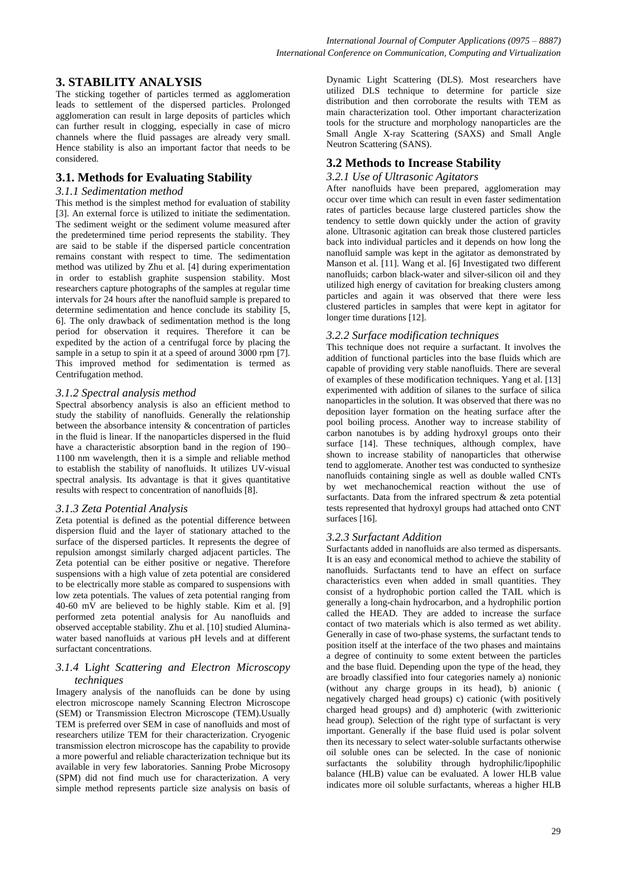## **3. STABILITY ANALYSIS**

The sticking together of particles termed as agglomeration leads to settlement of the dispersed particles. Prolonged agglomeration can result in large deposits of particles which can further result in clogging, especially in case of micro channels where the fluid passages are already very small. Hence stability is also an important factor that needs to be considered.

## **3.1. Methods for Evaluating Stability**

#### *3.1.1 Sedimentation method*

This method is the simplest method for evaluation of stability [3]. An external force is utilized to initiate the sedimentation. The sediment weight or the sediment volume measured after the predetermined time period represents the stability. They are said to be stable if the dispersed particle concentration remains constant with respect to time. The sedimentation method was utilized by Zhu et al. [4] during experimentation in order to establish graphite suspension stability. Most researchers capture photographs of the samples at regular time intervals for 24 hours after the nanofluid sample is prepared to determine sedimentation and hence conclude its stability [5, 6]. The only drawback of sedimentation method is the long period for observation it requires. Therefore it can be expedited by the action of a centrifugal force by placing the sample in a setup to spin it at a speed of around 3000 rpm [7]. This improved method for sedimentation is termed as Centrifugation method.

#### *3.1.2 Spectral analysis method*

Spectral absorbency analysis is also an efficient method to study the stability of nanofluids. Generally the relationship between the absorbance intensity & concentration of particles in the fluid is linear. If the nanoparticles dispersed in the fluid have a characteristic absorption band in the region of 190– 1100 nm wavelength, then it is a simple and reliable method to establish the stability of nanofluids. It utilizes UV-visual spectral analysis. Its advantage is that it gives quantitative results with respect to concentration of nanofluids [8].

#### *3.1.3 Zeta Potential Analysis*

Zeta potential is defined as the potential difference between dispersion fluid and the layer of stationary attached to the surface of the dispersed particles. It represents the degree of repulsion amongst similarly charged adjacent particles. The Zeta potential can be either positive or negative. Therefore suspensions with a high value of zeta potential are considered to be electrically more stable as compared to suspensions with low zeta potentials. The values of zeta potential ranging from 40-60 mV are believed to be highly stable. Kim et al. [9] performed zeta potential analysis for Au nanofluids and observed acceptable stability. Zhu et al. [10] studied Aluminawater based nanofluids at various pH levels and at different surfactant concentrations.

#### *3.1.4* L*ight Scattering and Electron Microscopy techniques*

Imagery analysis of the nanofluids can be done by using electron microscope namely Scanning Electron Microscope (SEM) or Transmission Electron Microscope (TEM).Usually TEM is preferred over SEM in case of nanofluids and most of researchers utilize TEM for their characterization. Cryogenic transmission electron microscope has the capability to provide a more powerful and reliable characterization technique but its available in very few laboratories. Sanning Probe Microsopy (SPM) did not find much use for characterization. A very simple method represents particle size analysis on basis of

Dynamic Light Scattering (DLS). Most researchers have utilized DLS technique to determine for particle size distribution and then corroborate the results with TEM as main characterization tool. Other important characterization tools for the structure and morphology nanoparticles are the Small Angle X-ray Scattering (SAXS) and Small Angle Neutron Scattering (SANS).

#### **3.2 Methods to Increase Stability**

#### *3.2.1 Use of Ultrasonic Agitators*

After nanofluids have been prepared, agglomeration may occur over time which can result in even faster sedimentation rates of particles because large clustered particles show the tendency to settle down quickly under the action of gravity alone. Ultrasonic agitation can break those clustered particles back into individual particles and it depends on how long the nanofluid sample was kept in the agitator as demonstrated by Manson et al. [11]. Wang et al. [6] Investigated two different nanofluids; carbon black-water and silver-silicon oil and they utilized high energy of cavitation for breaking clusters among particles and again it was observed that there were less clustered particles in samples that were kept in agitator for longer time durations [12].

#### *3.2.2 Surface modification techniques*

This technique does not require a surfactant. It involves the addition of functional particles into the base fluids which are capable of providing very stable nanofluids. There are several of examples of these modification techniques. Yang et al. [13] experimented with addition of silanes to the surface of silica nanoparticles in the solution. It was observed that there was no deposition layer formation on the heating surface after the pool boiling process. Another way to increase stability of carbon nanotubes is by adding hydroxyl groups onto their surface [14]. These techniques, although complex, have shown to increase stability of nanoparticles that otherwise tend to agglomerate. Another test was conducted to synthesize nanofluids containing single as well as double walled CNTs by wet mechanochemical reaction without the use of surfactants. Data from the infrared spectrum & zeta potential tests represented that hydroxyl groups had attached onto CNT surfaces [16].

#### *3.2.3 Surfactant Addition*

Surfactants added in nanofluids are also termed as dispersants. It is an easy and economical method to achieve the stability of nanofluids. Surfactants tend to have an effect on surface characteristics even when added in small quantities. They consist of a hydrophobic portion called the TAIL which is generally a long-chain hydrocarbon, and a hydrophilic portion called the HEAD. They are added to increase the surface contact of two materials which is also termed as wet ability. Generally in case of two-phase systems, the surfactant tends to position itself at the interface of the two phases and maintains a degree of continuity to some extent between the particles and the base fluid. Depending upon the type of the head, they are broadly classified into four categories namely a) nonionic (without any charge groups in its head), b) anionic ( negatively charged head groups) c) cationic (with positively charged head groups) and d) amphoteric (with zwitterionic head group). Selection of the right type of surfactant is very important. Generally if the base fluid used is polar solvent then its necessary to select water-soluble surfactants otherwise oil soluble ones can be selected. In the case of nonionic surfactants the solubility through hydrophilic/lipophilic balance (HLB) value can be evaluated. A lower HLB value indicates more oil soluble surfactants, whereas a higher HLB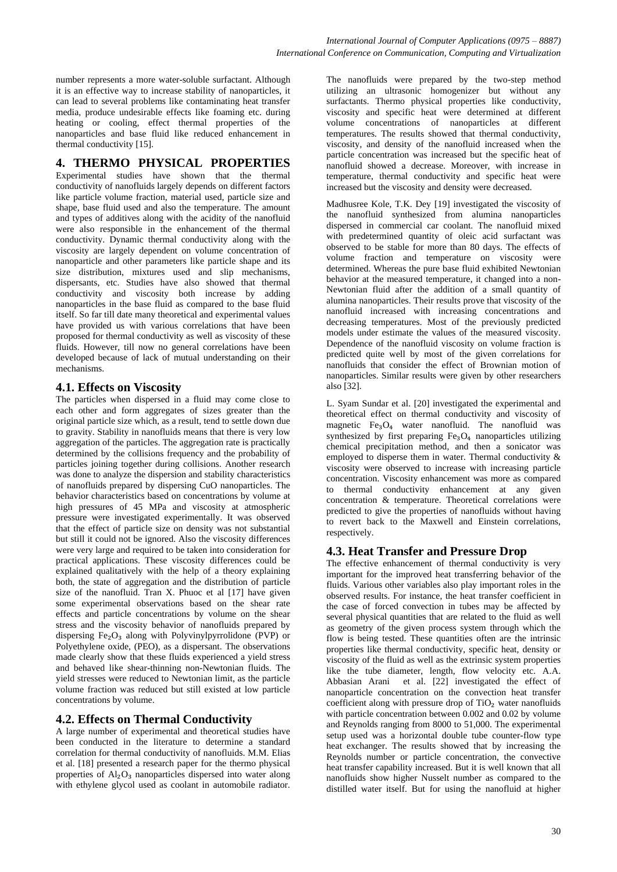number represents a more water-soluble surfactant. Although it is an effective way to increase stability of nanoparticles, it can lead to several problems like contaminating heat transfer media, produce undesirable effects like foaming etc. during heating or cooling, effect thermal properties of the nanoparticles and base fluid like reduced enhancement in thermal conductivity [15].

# **4. THERMO PHYSICAL PROPERTIES**

Experimental studies have shown that the thermal conductivity of nanofluids largely depends on different factors like particle volume fraction, material used, particle size and shape, base fluid used and also the temperature. The amount and types of additives along with the acidity of the nanofluid were also responsible in the enhancement of the thermal conductivity. Dynamic thermal conductivity along with the viscosity are largely dependent on volume concentration of nanoparticle and other parameters like particle shape and its size distribution, mixtures used and slip mechanisms, dispersants, etc. Studies have also showed that thermal conductivity and viscosity both increase by adding nanoparticles in the base fluid as compared to the base fluid itself. So far till date many theoretical and experimental values have provided us with various correlations that have been proposed for thermal conductivity as well as viscosity of these fluids. However, till now no general correlations have been developed because of lack of mutual understanding on their mechanisms.

# **4.1. Effects on Viscosity**

The particles when dispersed in a fluid may come close to each other and form aggregates of sizes greater than the original particle size which, as a result, tend to settle down due to gravity. Stability in nanofluids means that there is very low aggregation of the particles. The aggregation rate is practically determined by the collisions frequency and the probability of particles joining together during collisions. Another research was done to analyze the dispersion and stability characteristics of nanofluids prepared by dispersing CuO nanoparticles. The behavior characteristics based on concentrations by volume at high pressures of 45 MPa and viscosity at atmospheric pressure were investigated experimentally. It was observed that the effect of particle size on density was not substantial but still it could not be ignored. Also the viscosity differences were very large and required to be taken into consideration for practical applications. These viscosity differences could be explained qualitatively with the help of a theory explaining both, the state of aggregation and the distribution of particle size of the nanofluid. Tran X. Phuoc et al [17] have given some experimental observations based on the shear rate effects and particle concentrations by volume on the shear stress and the viscosity behavior of nanofluids prepared by dispersing  $Fe<sub>2</sub>O<sub>3</sub>$  along with Polyvinylpyrrolidone (PVP) or Polyethylene oxide, (PEO), as a dispersant. The observations made clearly show that these fluids experienced a yield stress and behaved like shear-thinning non-Newtonian fluids. The yield stresses were reduced to Newtonian limit, as the particle volume fraction was reduced but still existed at low particle concentrations by volume.

## **4.2. Effects on Thermal Conductivity**

A large number of experimental and theoretical studies have been conducted in the literature to determine a standard correlation for thermal conductivity of nanofluids. M.M. Elias et al. [18] presented a research paper for the thermo physical properties of  $Al_2O_3$  nanoparticles dispersed into water along with ethylene glycol used as coolant in automobile radiator.

The nanofluids were prepared by the two-step method utilizing an ultrasonic homogenizer but without any surfactants. Thermo physical properties like conductivity, viscosity and specific heat were determined at different volume concentrations of nanoparticles at different temperatures. The results showed that thermal conductivity, viscosity, and density of the nanofluid increased when the particle concentration was increased but the specific heat of nanofluid showed a decrease. Moreover, with increase in temperature, thermal conductivity and specific heat were increased but the viscosity and density were decreased.

Madhusree Kole, T.K. Dey [19] investigated the viscosity of the nanofluid synthesized from alumina nanoparticles dispersed in commercial car coolant. The nanofluid mixed with predetermined quantity of oleic acid surfactant was observed to be stable for more than 80 days. The effects of volume fraction and temperature on viscosity were determined. Whereas the pure base fluid exhibited Newtonian behavior at the measured temperature, it changed into a non-Newtonian fluid after the addition of a small quantity of alumina nanoparticles. Their results prove that viscosity of the nanofluid increased with increasing concentrations and decreasing temperatures. Most of the previously predicted models under estimate the values of the measured viscosity. Dependence of the nanofluid viscosity on volume fraction is predicted quite well by most of the given correlations for nanofluids that consider the effect of Brownian motion of nanoparticles. Similar results were given by other researchers also [32].

L. Syam Sundar et al. [20] investigated the experimental and theoretical effect on thermal conductivity and viscosity of magnetic  $Fe<sub>3</sub>O<sub>4</sub>$  water nanofluid. The nanofluid was synthesized by first preparing  $Fe<sub>3</sub>O<sub>4</sub>$  nanoparticles utilizing chemical precipitation method, and then a sonicator was employed to disperse them in water. Thermal conductivity & viscosity were observed to increase with increasing particle concentration. Viscosity enhancement was more as compared to thermal conductivity enhancement at any given concentration & temperature. Theoretical correlations were predicted to give the properties of nanofluids without having to revert back to the Maxwell and Einstein correlations, respectively.

## **4.3. Heat Transfer and Pressure Drop**

The effective enhancement of thermal conductivity is very important for the improved heat transferring behavior of the fluids. Various other variables also play important roles in the observed results. For instance, the heat transfer coefficient in the case of forced convection in tubes may be affected by several physical quantities that are related to the fluid as well as geometry of the given process system through which the flow is being tested. These quantities often are the intrinsic properties like thermal conductivity, specific heat, density or viscosity of the fluid as well as the extrinsic system properties like the tube diameter, length, flow velocity etc. A.A. Abbasian Arani et al. [22] investigated the effect of nanoparticle concentration on the convection heat transfer coefficient along with pressure drop of  $TiO<sub>2</sub>$  water nanofluids with particle concentration between 0.002 and 0.02 by volume and Reynolds ranging from 8000 to 51,000. The experimental setup used was a horizontal double tube counter-flow type heat exchanger. The results showed that by increasing the Reynolds number or particle concentration, the convective heat transfer capability increased. But it is well known that all nanofluids show higher Nusselt number as compared to the distilled water itself. But for using the nanofluid at higher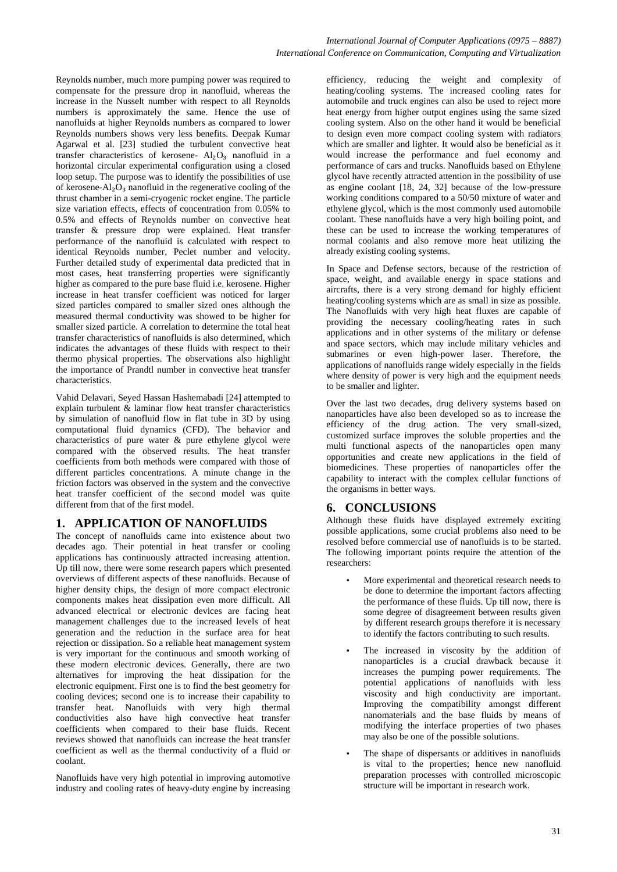Reynolds number, much more pumping power was required to compensate for the pressure drop in nanofluid, whereas the increase in the Nusselt number with respect to all Reynolds numbers is approximately the same. Hence the use of nanofluids at higher Reynolds numbers as compared to lower Reynolds numbers shows very less benefits. Deepak Kumar Agarwal et al. [23] studied the turbulent convective heat transfer characteristics of kerosene-  $Al_2O_3$  nanofluid in a horizontal circular experimental configuration using a closed loop setup. The purpose was to identify the possibilities of use of kerosene- $Al_2O_3$  nanofluid in the regenerative cooling of the thrust chamber in a semi-cryogenic rocket engine. The particle size variation effects, effects of concentration from 0.05% to 0.5% and effects of Reynolds number on convective heat transfer & pressure drop were explained. Heat transfer performance of the nanofluid is calculated with respect to identical Reynolds number, Peclet number and velocity. Further detailed study of experimental data predicted that in most cases, heat transferring properties were significantly higher as compared to the pure base fluid i.e. kerosene. Higher increase in heat transfer coefficient was noticed for larger sized particles compared to smaller sized ones although the measured thermal conductivity was showed to be higher for smaller sized particle. A correlation to determine the total heat transfer characteristics of nanofluids is also determined, which indicates the advantages of these fluids with respect to their thermo physical properties. The observations also highlight the importance of Prandtl number in convective heat transfer characteristics.

Vahid Delavari, Seyed Hassan Hashemabadi [24] attempted to explain turbulent & laminar flow heat transfer characteristics by simulation of nanofluid flow in flat tube in 3D by using computational fluid dynamics (CFD). The behavior and characteristics of pure water & pure ethylene glycol were compared with the observed results. The heat transfer coefficients from both methods were compared with those of different particles concentrations. A minute change in the friction factors was observed in the system and the convective heat transfer coefficient of the second model was quite different from that of the first model.

## **1. APPLICATION OF NANOFLUIDS**

The concept of nanofluids came into existence about two decades ago. Their potential in heat transfer or cooling applications has continuously attracted increasing attention. Up till now, there were some research papers which presented overviews of different aspects of these nanofluids. Because of higher density chips, the design of more compact electronic components makes heat dissipation even more difficult. All advanced electrical or electronic devices are facing heat management challenges due to the increased levels of heat generation and the reduction in the surface area for heat rejection or dissipation. So a reliable heat management system is very important for the continuous and smooth working of these modern electronic devices. Generally, there are two alternatives for improving the heat dissipation for the electronic equipment. First one is to find the best geometry for cooling devices; second one is to increase their capability to transfer heat. Nanofluids with very high thermal conductivities also have high convective heat transfer coefficients when compared to their base fluids. Recent reviews showed that nanofluids can increase the heat transfer coefficient as well as the thermal conductivity of a fluid or coolant.

Nanofluids have very high potential in improving automotive industry and cooling rates of heavy-duty engine by increasing efficiency, reducing the weight and complexity of heating/cooling systems. The increased cooling rates for automobile and truck engines can also be used to reject more heat energy from higher output engines using the same sized cooling system. Also on the other hand it would be beneficial to design even more compact cooling system with radiators which are smaller and lighter. It would also be beneficial as it would increase the performance and fuel economy and performance of cars and trucks. Nanofluids based on Ethylene glycol have recently attracted attention in the possibility of use as engine coolant [18, 24, 32] because of the low-pressure working conditions compared to a 50/50 mixture of water and ethylene glycol, which is the most commonly used automobile coolant. These nanofluids have a very high boiling point, and these can be used to increase the working temperatures of normal coolants and also remove more heat utilizing the already existing cooling systems.

In Space and Defense sectors, because of the restriction of space, weight, and available energy in space stations and aircrafts, there is a very strong demand for highly efficient heating/cooling systems which are as small in size as possible. The Nanofluids with very high heat fluxes are capable of providing the necessary cooling/heating rates in such applications and in other systems of the military or defense and space sectors, which may include military vehicles and submarines or even high-power laser. Therefore, the applications of nanofluids range widely especially in the fields where density of power is very high and the equipment needs to be smaller and lighter.

Over the last two decades, drug delivery systems based on nanoparticles have also been developed so as to increase the efficiency of the drug action. The very small-sized, customized surface improves the soluble properties and the multi functional aspects of the nanoparticles open many opportunities and create new applications in the field of biomedicines. These properties of nanoparticles offer the capability to interact with the complex cellular functions of the organisms in better ways.

## **6. CONCLUSIONS**

Although these fluids have displayed extremely exciting possible applications, some crucial problems also need to be resolved before commercial use of nanofluids is to be started. The following important points require the attention of the researchers:

- More experimental and theoretical research needs to be done to determine the important factors affecting the performance of these fluids. Up till now, there is some degree of disagreement between results given by different research groups therefore it is necessary to identify the factors contributing to such results.
- The increased in viscosity by the addition of nanoparticles is a crucial drawback because it increases the pumping power requirements. The potential applications of nanofluids with less viscosity and high conductivity are important. Improving the compatibility amongst different nanomaterials and the base fluids by means of modifying the interface properties of two phases may also be one of the possible solutions.
- The shape of dispersants or additives in nanofluids is vital to the properties; hence new nanofluid preparation processes with controlled microscopic structure will be important in research work.